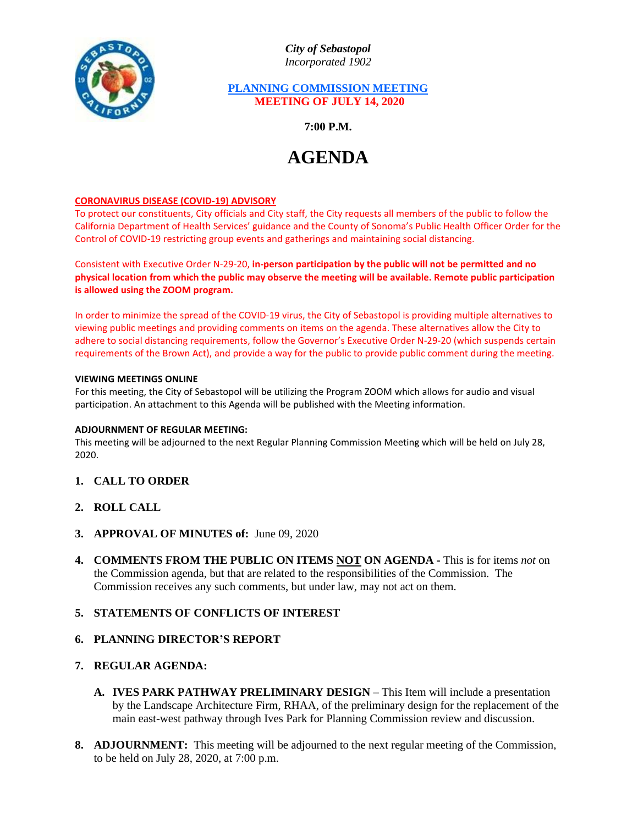

*City of Sebastopol Incorporated 1902*

# **PLANNING COMMISSION MEETING MEETING OF JULY 14, 2020**

**7:00 P.M.**

# **AGENDA**

### **CORONAVIRUS DISEASE (COVID-19) ADVISORY**

To protect our constituents, City officials and City staff, the City requests all members of the public to follow the California Department of Health Services' guidance and the County of Sonoma's Public Health Officer Order for the Control of COVID-19 restricting group events and gatherings and maintaining social distancing.

Consistent with Executive Order N-29-20, **in-person participation by the public will not be permitted and no physical location from which the public may observe the meeting will be available. Remote public participation is allowed using the ZOOM program.**

In order to minimize the spread of the COVID-19 virus, the City of Sebastopol is providing multiple alternatives to viewing public meetings and providing comments on items on the agenda. These alternatives allow the City to adhere to social distancing requirements, follow the Governor's Executive Order N-29-20 (which suspends certain requirements of the Brown Act), and provide a way for the public to provide public comment during the meeting.

#### **VIEWING MEETINGS ONLINE**

For this meeting, the City of Sebastopol will be utilizing the Program ZOOM which allows for audio and visual participation. An attachment to this Agenda will be published with the Meeting information.

#### **ADJOURNMENT OF REGULAR MEETING:**

This meeting will be adjourned to the next Regular Planning Commission Meeting which will be held on July 28, 2020.

- **1. CALL TO ORDER**
- **2. ROLL CALL**
- **3. APPROVAL OF MINUTES of:** June 09, 2020
- **4. COMMENTS FROM THE PUBLIC ON ITEMS NOT ON AGENDA -** This is for items *not* on the Commission agenda, but that are related to the responsibilities of the Commission. The Commission receives any such comments, but under law, may not act on them.

## **5. STATEMENTS OF CONFLICTS OF INTEREST**

## **6. PLANNING DIRECTOR'S REPORT**

## **7. REGULAR AGENDA:**

- **A. IVES PARK PATHWAY PRELIMINARY DESIGN** This Item will include a presentation by the Landscape Architecture Firm, RHAA, of the preliminary design for the replacement of the main east-west pathway through Ives Park for Planning Commission review and discussion.
- **8. ADJOURNMENT:** This meeting will be adjourned to the next regular meeting of the Commission, to be held on July 28, 2020, at 7:00 p.m.